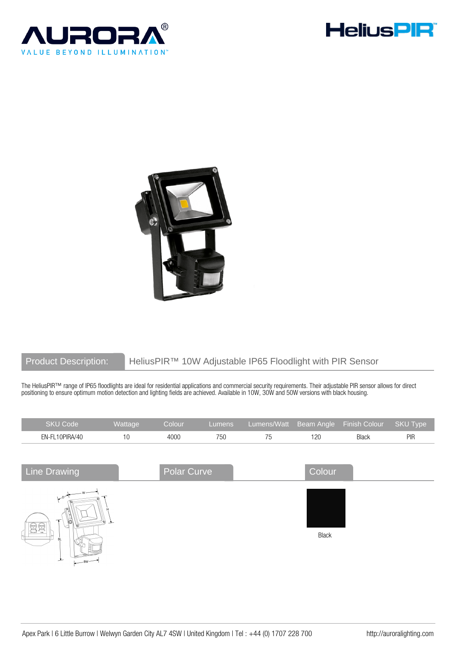





# Product Description: HeliusPIR™ 10W Adjustable IP65 Floodlight with PIR Sensor

The HeliusPIR™ range of IP65 floodlights are ideal for residential applications and commercial security requirements. Their adjustable PIR sensor allows for direct positioning to ensure optimum motion detection and lighting fields are achieved. Available in 10W, 30W and 50W versions with black housing.

| <b>SKU Code</b>                       | Wattage | Colour      | Lumens | Lumens/Watt | Beam Angle | Finish Colour | SKU Type |
|---------------------------------------|---------|-------------|--------|-------------|------------|---------------|----------|
| EN-FL10PIRA/40                        | 10      | 4000        | 750    | 75          | 120        | Black         | PIR      |
|                                       |         |             |        |             |            |               |          |
| <b>Line Drawing</b>                   |         | Polar Curve |        |             | Colour     |               |          |
| 0سما<br>6<br>$\tau$<br>$\Omega$<br>BL | -⊗ _⊾   |             |        |             | Black      |               |          |
| مد<br>$\sim$                          |         |             |        |             |            |               |          |